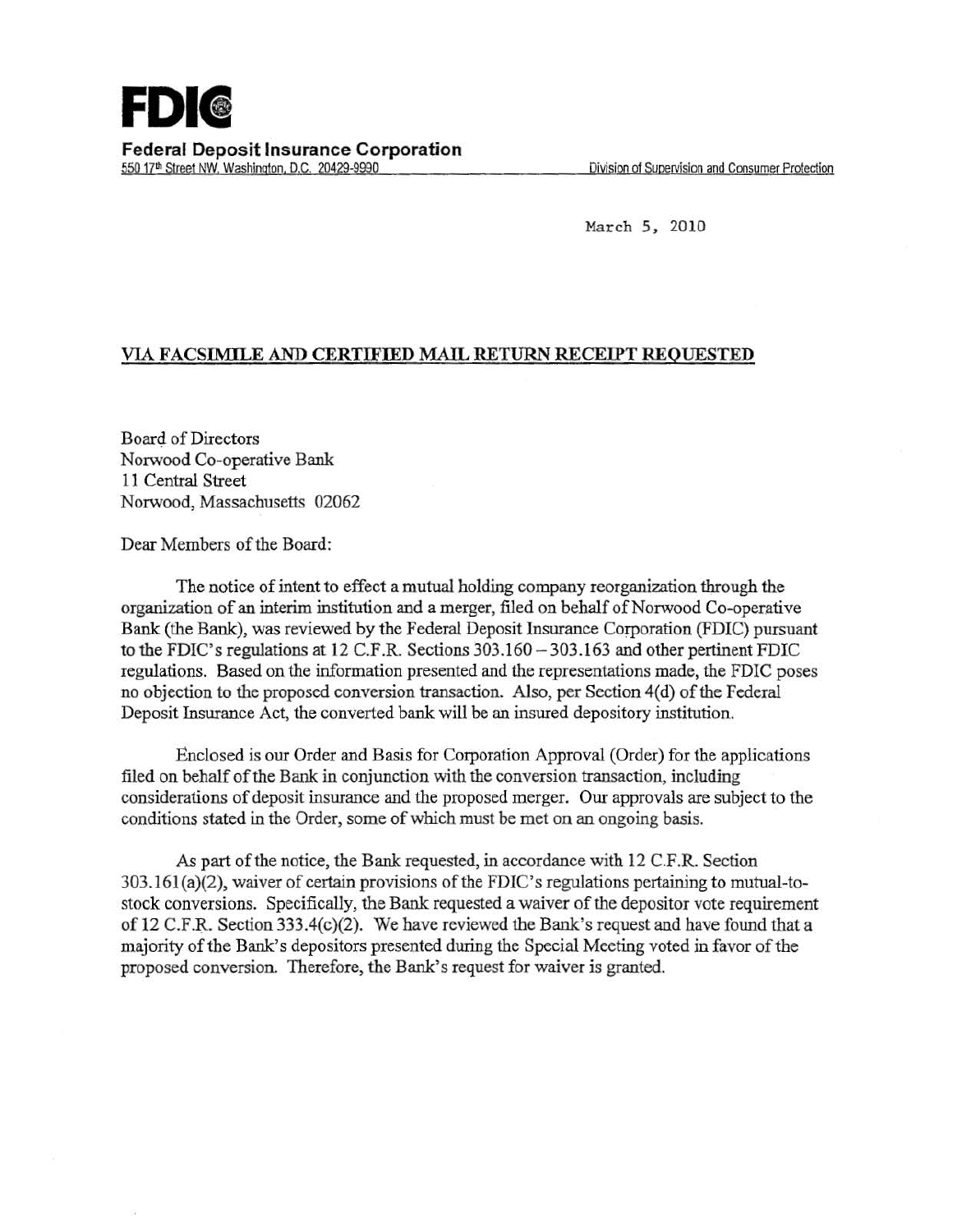March 5, 2010

## VIA FACSIMILE AND CERTIFIED MAIL RETURN RECEIPT REQUESTED

Board of Directors Norwood Co-operative Bank 11 Central Street Norwood, Massachusetts 02062

Dear Members of the Board:

The notice of intent to effect a mutual holding company reorganization through the organization of an interim institution and a merger, filed on behalf of Norwood Co-operative Bank (the Bank), was reviewed by the Federal Deposit Insurance Corporation (FDIC) pursuant to the FDIC's regulations at 12 C.F.R. Sections  $303.160 - 303.163$  and other pertinent FDIC regulations. Based on the information presented and the representations made, the FDIC poses no objection to the proposed conversion transaction. Also, per Section 4(d) of the Federal Deposit Insurance Act, the converted bank will be an insured depository institution.

Enclosed is our Order and Basis for Corporation Approval (Order) for the applications filed on behalf of the Bank in conjunction with the conversion transaction, including considerations of deposit insurance and the proposed merger. Our approvals are subject to the conditions stated in the Order, some of which must be met on an ongoing basis.

As part of the notice, the Bank requested, in accordance with 12 C.F.R. Section 303.161(a)(2), waiver of certain provisions of the FDIC's regulations pertaining to mutual-tostock conversions. Specifically, the Bank requested a waiver of the depositor vote requirement of 12 C.F.R. Section 333.4(c)(2). We have reviewed the Bank's request and have found that a majority of the Bank's depositors presented during the Special Meeting voted in favor of the proposed conversion. Therefore, the Bank's request for waiver is granted.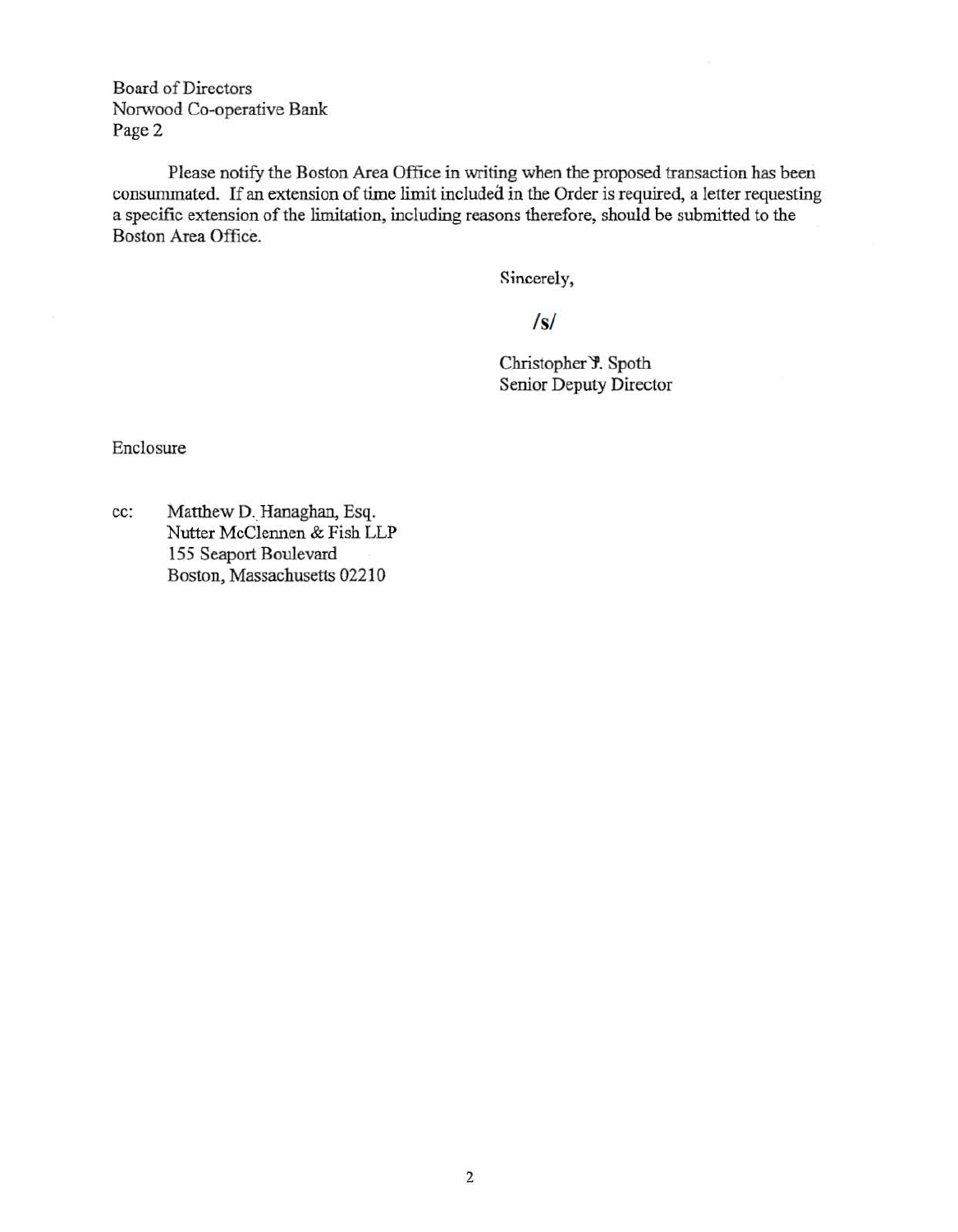Board of Directors Norwood Co-operative Bank Page 2

Please notify the Boston Area Office in writing when the proposed transaction has been consummated. If an extension of time limit included in the Order is required, a letter requesting a specific extension of the limitation, including reasons therefore, should be submitted to the Boston Area Office.

Sincerely,

*Is/* 

Christopher Y. Spoth Senior Deputy Director

Enclosure

cc: Matthew D. Hanaghan, Esq. Nutter McClennen & Fish LLP 155 Seaport Boulevard Boston, Massachusetts 02210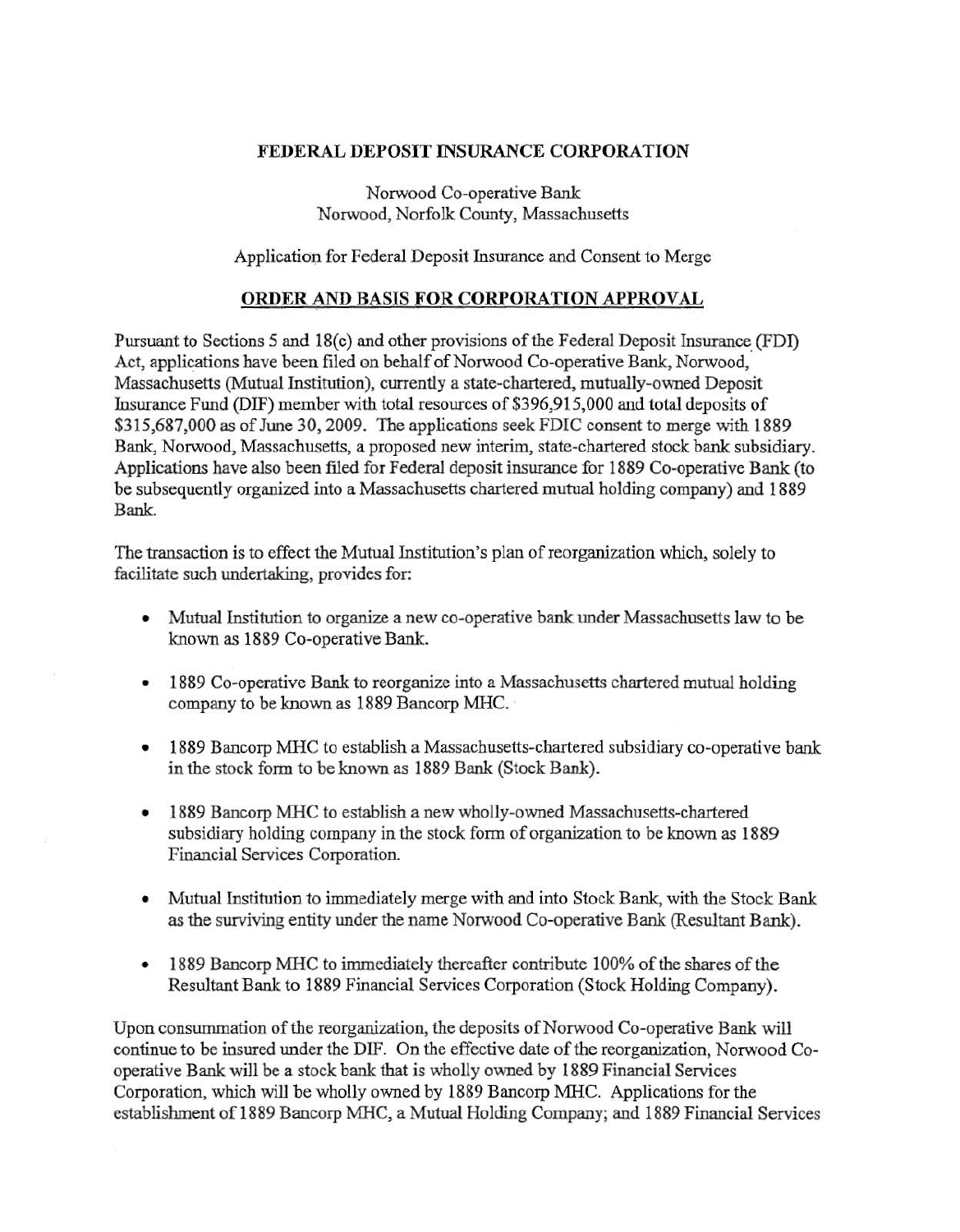## FEDERAL DEPOSIT INSURANCE CORPORATION

Norwood Co-operative Bank Norwood, Norfolk County, Massachusetts

Application for Federal Deposit Insurance and Consent to Merge

## ORDER AND BASIS FOR CORPORATION APPROVAL

Pursuant to Sections 5 and 18(c) and other provisions of the Federal Deposit Insurance (FDI) Act, applications have been filed on behalf of Norwood Co-operative Bank, Norwood, Massachusetts (Mutual Institution), currently a state-chartered, mutually-owned Deposit Insurance Fund (DIF) member with total resources of \$396,915,000 and total deposits of \$315,687,000 as of June 30,2009. The applications seek FDIC consent to merge with 1889 Bank, Norwood, Massachusetts, a proposed new interim, state-chartered stock bank subsidiary. Applications have also been filed for Federal deposit insurance for 1889 Co-operative Bank (to be subsequently organized into a Massachusetts chartered mutual holding company) and 1889 Bank.

The transaction is to effect the Mutual Institution's plan of reorganization which, solely to facilitate such undertaking, provides for:

- Mutual Institution to organize a new co-operative bank under Massachusetts law to be known as 1889 Co-operative Bank.
- 1889 Co-operative Bank to reorganize into a Massachusetts chartered mutual holding company to be known as 1889 Bancorp MHC.
- 1889 Bancorp MHC to establish a Massachusetts-chartered subsidiary co-operative bank in the stock form to be known as 1889 Bank (Stock Bank).
- 1889 Bancorp MHC to establish a new wholly-owned Massachusetts-chartered subsidiary holding company in the stock form of organization to be known as 1889 Financial Services Corporation.
- Mutual Institution to immediately merge with and into Stock Bank, with the Stock Bank as the surviving entity under the name Norwood Co-operative Bank (Resultant Bank).
- 1889 Bancorp MHC to immediately thereafter contribute 100% of the shares of the Resultant Bank to 1889 Financial Services Corporation (Stock Holding Company).

Upon consummation of the reorganization, the deposits of Norwood Co-operative Bank will continue to be insured under the DIF. On the effective date of the reorganization, Norwood Cooperative Bank will be a stock bank that is wholly owned by 1889 Financial Services Corporation, which will be wholly owned by 1889 Bancorp MHC. Applications for the establishment of 1889 Bancorp MHC, a Mutual Holding Company; and 1889 Financial Services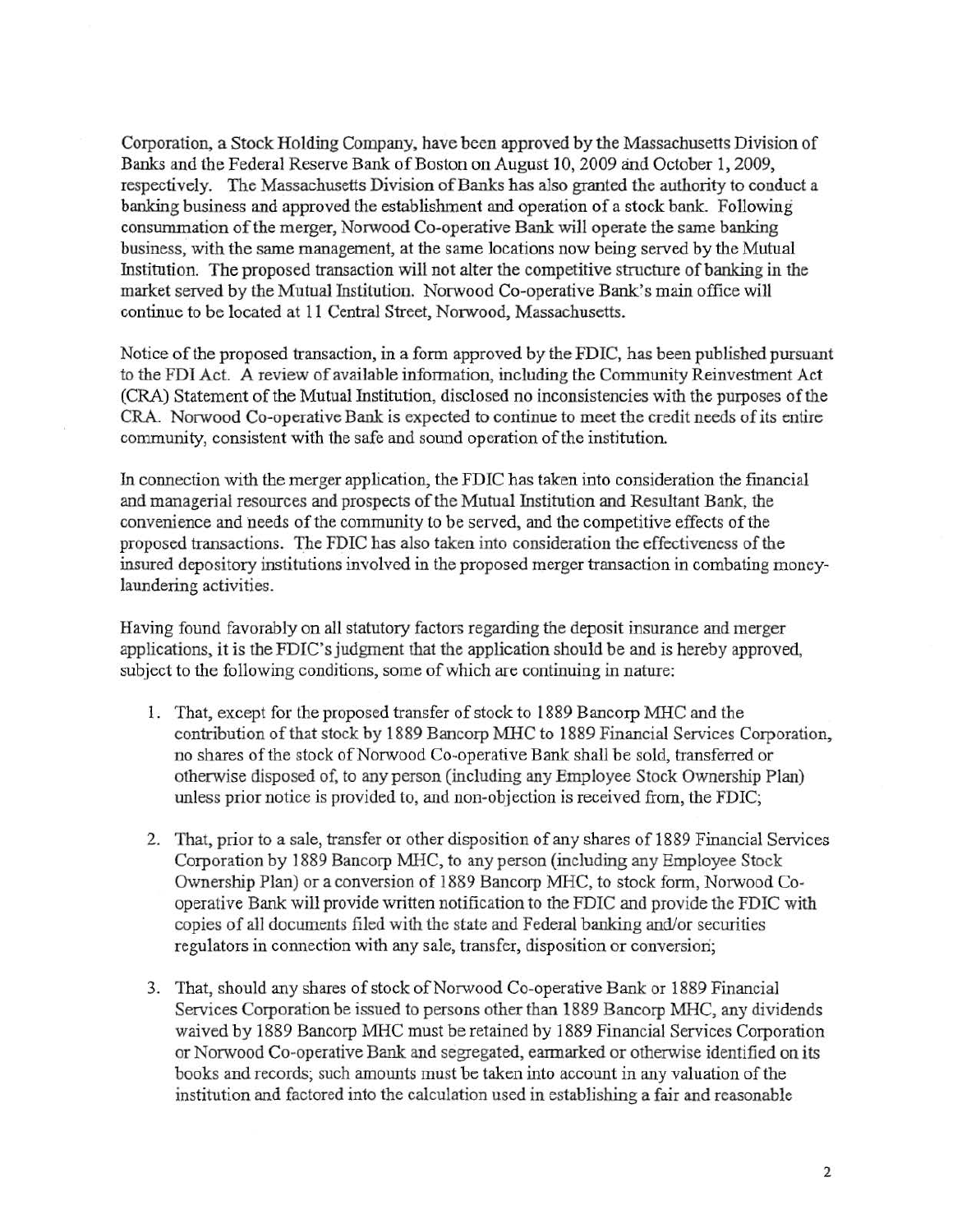Corporation, a Stock Holding Company, have been approved by the Massachusetts Division of Banks and the Federal Reserve Bank of Boston on August 10,2009 and October 1, 2009, respectively. The Massachusetts Division of Banks has also granted the authority to conduct a banking business and approved the establishment and operation of a stock bank. Following consununation of the merger, Norwood Co-operative Bank will operate the same banking business, with the same management, at the same locations now being served by the Mutual Institution. The proposed transaction will not alter the competitive structure of banking in the market served by the Mutual Institution. Norwood Co-operative Bank's main office will continue to be located at ll Central Street, Norwood, Massachusetts.

Notice of the proposed transaction, in a form approved by the FDIC, has been published pursuant to the FDI Act. A review of available information, including the Community Reinvestment Act (CRA) Statement of the Mutual Institution, disclosed no inconsistencies with the purposes of the CR.A. Norwood Co-operative Bank is expected to continue to meet the credit needs of its entire community, consistent with the safe and sound operation of the institution.

In connection with the merger application, the FDIC has taken into consideration the fmancial and managerial resources and prospects of the Mutual Institution and Resultant Bank, the convenience and needs of the community to be served, and the competitive effects of the proposed transactions. The FDIC has also taken into consideration the effectiveness of the insured depository institutions involved in the proposed merger transaction in combating moneylaundering activities.

Having found favorably on all statutory factors regarding the deposit insurance and merger applications, it is the FDIC's judgment that the application should be and is hereby approved, subject to the following conditions, some of which are continuing in nature:

- 1. That, except for the proposed transfer of stock to 1889 Bancorp MHC and the contribution of that stock by 1889 Bancorp MHC to 1889 Financial Services Corporation, no shares of the stock of Norwood Co-operative Bank shall be sold, transferred or otherwise disposed of, to any person (including any Employee Stock Ownership Plan) unless prior notice is provided to, and non-objection is received from, the FDIC;
- 2. That, prior to a sale, transfer or other disposition of any shares of 1889 Financial Services Corporation by 1889 Bancorp MHC, to any person (including any Employee Stock Ownership Plan) or a conversion of 1889 Bancorp MHC, to stock form, Norwood Cooperative Bank will provide written notification to the FDIC and provide the FDIC with copies of all documents filed with the state and Federal banking and/or securities regulators in connection with any sale, transfer, disposition or conversion;
- 3. That, should any shares of stock of Norwood Co-operative Bank or 1889 Financial Services Corporation be issued to persons other than 1889 Bancorp MHC, any dividends waived by 1889 Bancorp MHC must be retained by 1889 Financial Services Corporation or Norwood Co-operative Bank and segregated, earmarked or otherwise identified on its books and records; such amounts must be taken into account in any valuation of the institution and factored into the calculation used in establishing a fair and reasonable